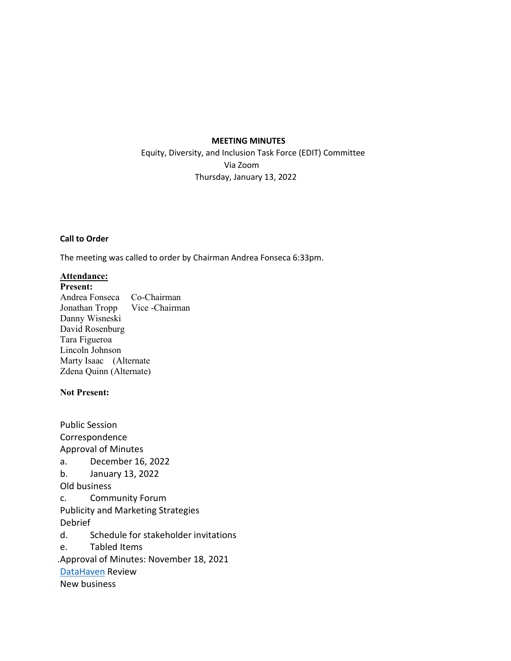#### **MEETING MINUTES**

 Equity, Diversity, and Inclusion Task Force (EDIT) Committee Via Zoom Thursday, January 13, 2022

### **Call to Order**

The meeting was called to order by Chairman Andrea Fonseca 6:33pm.

# **Attendance:**

**Present:**

Andrea Fonseca Co-Chairman Jonathan Tropp Vice -Chairman Danny Wisneski David Rosenburg Tara Figueroa Lincoln Johnson Marty Isaac (Alternate Zdena Quinn (Alternate)

## **Not Present:**

Public Session Correspondence Approval of Minutes a. December 16, 2022 b. January 13, 2022 Old business c. Community Forum Publicity and Marketing Strategies Debrief d. Schedule for stakeholder invitations e. Tabled Items .Approval of Minutes: November 18, 2021 [DataHaven](https://ctdatahaven.org/sites/ctdatahaven/files/trumbull_profile_v1.pdf) Review New business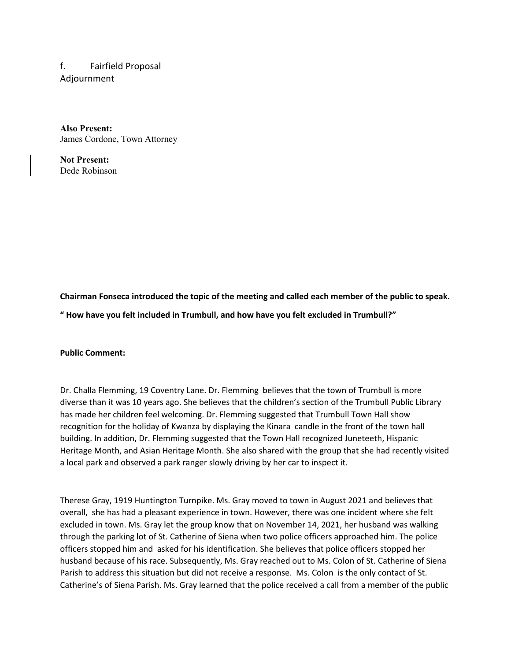f. Fairfield Proposal Adjournment

**Also Present:** James Cordone, Town Attorney

**Not Present:** Dede Robinson

**Chairman Fonseca introduced the topic of the meeting and called each member of the public to speak.** 

**" How have you felt included in Trumbull, and how have you felt excluded in Trumbull?"** 

### **Public Comment:**

Dr. Challa Flemming, 19 Coventry Lane. Dr. Flemming believes that the town of Trumbull is more diverse than it was 10 years ago. She believes that the children's section of the Trumbull Public Library has made her children feel welcoming. Dr. Flemming suggested that Trumbull Town Hall show recognition for the holiday of Kwanza by displaying the Kinara candle in the front of the town hall building. In addition, Dr. Flemming suggested that the Town Hall recognized Juneteeth, Hispanic Heritage Month, and Asian Heritage Month. She also shared with the group that she had recently visited a local park and observed a park ranger slowly driving by her car to inspect it.

Therese Gray, 1919 Huntington Turnpike. Ms. Gray moved to town in August 2021 and believes that overall, she has had a pleasant experience in town. However, there was one incident where she felt excluded in town. Ms. Gray let the group know that on November 14, 2021, her husband was walking through the parking lot of St. Catherine of Siena when two police officers approached him. The police officers stopped him and asked for his identification. She believes that police officers stopped her husband because of his race. Subsequently, Ms. Gray reached out to Ms. Colon of St. Catherine of Siena Parish to address this situation but did not receive a response. Ms. Colon is the only contact of St. Catherine's of Siena Parish. Ms. Gray learned that the police received a call from a member of the public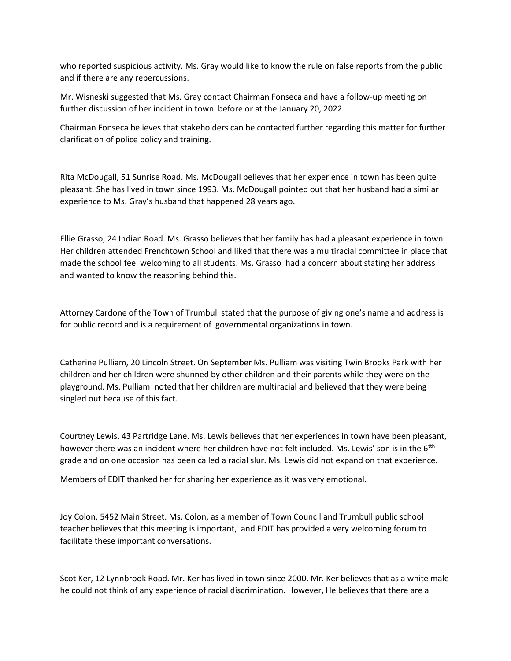who reported suspicious activity. Ms. Gray would like to know the rule on false reports from the public and if there are any repercussions.

Mr. Wisneski suggested that Ms. Gray contact Chairman Fonseca and have a follow-up meeting on further discussion of her incident in town before or at the January 20, 2022

Chairman Fonseca believes that stakeholders can be contacted further regarding this matter for further clarification of police policy and training.

Rita McDougall, 51 Sunrise Road. Ms. McDougall believes that her experience in town has been quite pleasant. She has lived in town since 1993. Ms. McDougall pointed out that her husband had a similar experience to Ms. Gray's husband that happened 28 years ago.

Ellie Grasso, 24 Indian Road. Ms. Grasso believes that her family has had a pleasant experience in town. Her children attended Frenchtown School and liked that there was a multiracial committee in place that made the school feel welcoming to all students. Ms. Grasso had a concern about stating her address and wanted to know the reasoning behind this.

Attorney Cardone of the Town of Trumbull stated that the purpose of giving one's name and address is for public record and is a requirement of governmental organizations in town.

Catherine Pulliam, 20 Lincoln Street. On September Ms. Pulliam was visiting Twin Brooks Park with her children and her children were shunned by other children and their parents while they were on the playground. Ms. Pulliam noted that her children are multiracial and believed that they were being singled out because of this fact.

Courtney Lewis, 43 Partridge Lane. Ms. Lewis believes that her experiences in town have been pleasant, however there was an incident where her children have not felt included. Ms. Lewis' son is in the 6<sup>tth</sup> grade and on one occasion has been called a racial slur. Ms. Lewis did not expand on that experience.

Members of EDIT thanked her for sharing her experience as it was very emotional.

Joy Colon, 5452 Main Street. Ms. Colon, as a member of Town Council and Trumbull public school teacher believes that this meeting is important, and EDIT has provided a very welcoming forum to facilitate these important conversations.

Scot Ker, 12 Lynnbrook Road. Mr. Ker has lived in town since 2000. Mr. Ker believes that as a white male he could not think of any experience of racial discrimination. However, He believes that there are a